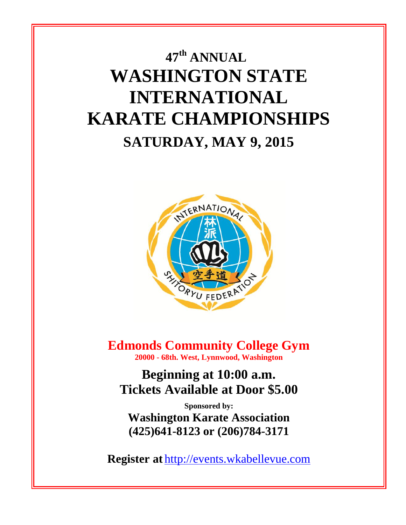# **47 th ANNUAL WASHINGTON STATE INTERNATIONAL KARATE CHAMPIONSHIPS SATURDAY, MAY 9, 2015**



**Edmonds Community College Gym 20000 - 68th. West, Lynnwood, Washington**

**Beginning at 10:00 a.m. Tickets Available at Door \$5.00**

**Sponsored by: Washington Karate Association (425)641-8123 or (206)784-3171**

**Register at** [http://events.wkabellevue.com](http://events.wkabellevue.com/)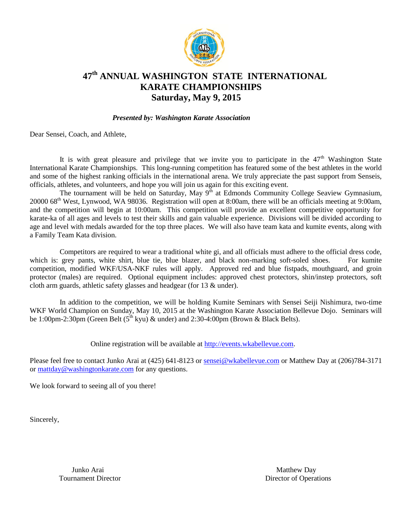

## **47th ANNUAL WASHINGTON STATE INTERNATIONAL KARATE CHAMPIONSHIPS Saturday, May 9, 2015**

#### *Presented by: Washington Karate Association*

Dear Sensei, Coach, and Athlete,

It is with great pleasure and privilege that we invite you to participate in the  $47<sup>th</sup>$  Washington State International Karate Championships. This long-running competition has featured some of the best athletes in the world and some of the highest ranking officials in the international arena. We truly appreciate the past support from Senseis, officials, athletes, and volunteers, and hope you will join us again for this exciting event.

The tournament will be held on Saturday, May  $9<sup>th</sup>$  at Edmonds Community College Seaview Gymnasium, 20000 68th West, Lynwood, WA 98036. Registration will open at 8:00am, there will be an officials meeting at 9:00am, and the competition will begin at 10:00am. This competition will provide an excellent competitive opportunity for karate-ka of all ages and levels to test their skills and gain valuable experience. Divisions will be divided according to age and level with medals awarded for the top three places. We will also have team kata and kumite events, along with a Family Team Kata division.

Competitors are required to wear a traditional white gi, and all officials must adhere to the official dress code, which is: grey pants, white shirt, blue tie, blue blazer, and black non-marking soft-soled shoes. For kumite competition, modified WKF/USA-NKF rules will apply. Approved red and blue fistpads, mouthguard, and groin protector (males) are required. Optional equipment includes: approved chest protectors, shin/instep protectors, soft cloth arm guards, athletic safety glasses and headgear (for 13 & under).

In addition to the competition, we will be holding Kumite Seminars with Sensei Seiji Nishimura, two-time WKF World Champion on Sunday, May 10, 2015 at the Washington Karate Association Bellevue Dojo. Seminars will be 1:00pm-2:30pm (Green Belt  $(5^{th}$  kyu) & under) and 2:30-4:00pm (Brown & Black Belts).

Online registration will be available at [http://events.wkabellevue.com.](http://events.wkabellevue.com/)

Please feel free to contact Junko Arai at (425) 641-8123 or [sensei@wkabellevue.com](mailto:sensei@wkabellevue.com) or Matthew Day at (206)784-3171 or [mattday@washingtonkarate.com](mailto:mattday@washingtonkarate.com) for any questions.

We look forward to seeing all of you there!

Sincerely,

Junko Arai Matthew Day

Tournament Director **Director** Director **Director Director Director Director Director Director Director Director Director Director Director Director Director Director Director Director Direc**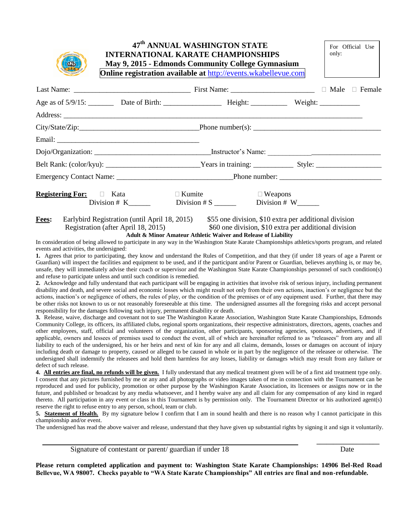| SEARCH FEDERATION |
|-------------------|
|-------------------|

#### **47 th ANNUAL WASHINGTON STATE INTERNATIONAL KARATE CHAMPIONSHIPS May 9, 2015 - Edmonds Community College Gymnasium Online registration available at** [http://events.wkabellevue.com](http://events.wkabellevue.com/)

| <b>Registering For:</b> $\Box$ Kata | $\Box$ Kumite                 | $\Box$ Weapons |  |
|-------------------------------------|-------------------------------|----------------|--|
| Division $# K$ <sub>______</sub>    | Division # $S$ Division # $W$ |                |  |

**Fees:** Earlybird Registration (until April 18, 2015) \$55 one division, \$10 extra per additional division Registration (after April 18, 2015) \$60 one division, \$10 extra per additional division **Adult & Minor Amateur Athletic Waiver and Release of Liability**

In consideration of being allowed to participate in any way in the Washington State Karate Championships athletics/sports program, and related events and activities, the undersigned:

**1.** Agrees that prior to participating, they know and understand the Rules of Competition, and that they (if under 18 years of age a Parent or Guardian) will inspect the facilities and equipment to be used, and if the participant and/or Parent or Guardian, believes anything is, or may be, unsafe, they will immediately advise their coach or supervisor and the Washington State Karate Championships personnel of such condition(s) and refuse to participate unless and until such condition is remedied.

**2.** Acknowledge and fully understand that each participant will be engaging in activities that involve risk of serious injury, including permanent disability and death, and severe social and economic losses which might result not only from their own actions, inaction's or negligence but the actions, inaction's or negligence of others, the rules of play, or the condition of the premises or of any equipment used. Further, that there may be other risks not known to us or not reasonably foreseeable at this time. The undersigned assumes all the foregoing risks and accept personal responsibility for the damages following such injury, permanent disability or death.

**3.** Release, waive, discharge and covenant not to sue The Washington Karate Association, Washington State Karate Championships, Edmonds Community College, its officers, its affiliated clubs, regional sports organizations, their respective administrators, directors, agents, coaches and other employees, staff, official and volunteers of the organization, other participants, sponsoring agencies, sponsors, advertisers, and if applicable, owners and lessees of premises used to conduct the event, all of which are hereinafter referred to as "releasees" from any and all liability to each of the undersigned, his or her heirs and next of kin for any and all claims, demands, losses or damages on account of injury including death or damage to property, caused or alleged to be caused in whole or in part by the negligence of the releasee or otherwise. The undersigned shall indemnify the releasees and hold them harmless for any losses, liability or damages which may result from any failure or defect of such release.

**4. All entries are final, no refunds will be given.** I fully understand that any medical treatment given will be of a first aid treatment type only. I consent that any pictures furnished by me or any and all photographs or video images taken of me in connection with the Tournament can be reproduced and used for publicity, promotion or other purpose by the Washington Karate Association, its licensees or assigns now or in the future, and published or broadcast by any media whatsoever, and I hereby waive any and all claim for any compensation of any kind in regard thereto. All participation in any event or class in this Tournament is by permission only. The Tournament Director or his authorized agent(s) reserve the right to refuse entry to any person, school, team or club.

**5. Statement of Health.** By my signature below I confirm that I am in sound health and there is no reason why I cannot participate in this championship and/or event.

The undersigned has read the above waiver and release, understand that they have given up substantial rights by signing it and sign it voluntarily.

 **\_\_\_\_\_\_\_\_\_\_\_\_\_\_\_\_\_\_\_**

Signature of contestant or parent/ guardian if under 18 Date

For Official Use

only:

**Please return completed application and payment to: Washington State Karate Championships: 14906 Bel-Red Road Bellevue, WA 98007. Checks payable to "WA State Karate Championships" All entries are final and non-refundable.**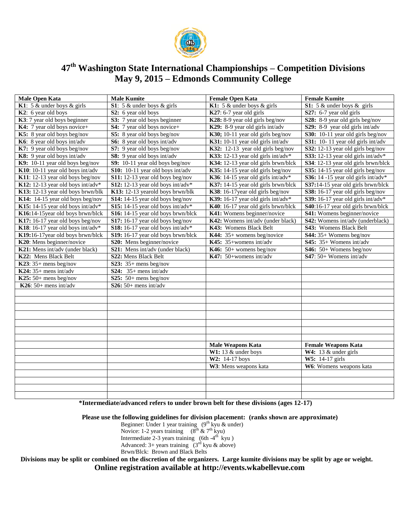

## **47 th Washington State International Championships – Competition Divisions May 9, 2015 – Edmonds Community College**

| <b>Male Open Kata</b>             | <b>Male Kumite</b>                 | <b>Female Open Kata</b>                              | <b>Female Kumite</b>                |
|-----------------------------------|------------------------------------|------------------------------------------------------|-------------------------------------|
| K1: 5 $\&$ under boys $\&$ girls  | S1: $5 &$ under boys $&$ girls     | K1: 5 $\&$ under boys $\&$ girls                     | S1: $5 &$ under boys $\&$ girls     |
| $K2$ : 6 year old boys            | S2: 6 year old boys                | $K27: 6-7$ year old girls                            | S27: 6-7 year old girls             |
| K3: 7 year old boys beginner      | S3: 7 year old boys beginner       | $\overline{\text{K28}}$ : 8-9 year old girls beg/nov | S28: 8-9 year old girls beg/nov     |
| K4: 7 year old boys novice+       | <b>S4:</b> 7 year old boys novice+ | K29: 8-9 year old girls int/adv                      | S29: 8-9 year old girls int/adv     |
| K5: 8 year old boys beg/nov       | S5: 8 year old boys beg/nov        | $K30$ ; 10-11 year old girls beg/nov                 | S30: 10-11 year old girls beg/nov   |
| K6: 8 year old boys int/adv       | S6: 8 year old boys int/adv        | K31: 10-11 year old girls int/adv                    | S31: 10-11 year old girls int/adv   |
| K7: 9 year old boys beg/nov       | S7: 9 year old boys beg/nov        | K32: 12-13 year old girls beg/nov                    | S32: 12-13 year old girls beg/nov   |
| K8: 9 year old boys int/adv       | S8: 9 year old boys int/adv        | K33: 12-13 year old girls int/adv*                   | S33: 12-13 year old girls int/adv*  |
| K9: 10-11 year old boys beg/nov   | S9: 10-11 year old boys beg/nov    | K34: 12-13 year old girls brwn/blck                  | S34: 12-13 year old girls brwn/blck |
| K10: 10-11 year old boys int/adv  | S10: 10-11 year old boys int/adv   | K35: 14-15 year old girls beg/nov                    | S35: 14-15 year old girls beg/nov   |
| K11: 12-13 year old boys beg/nov  | S11: 12-13 year old boys beg/nov   | K36: 14-15 year old girls int/adv*                   | S36: 14 -15 year old girls int/adv* |
| K12: 12-13 year old boys int/adv* | S12: 12-13 year old boys int/adv*  | K37: 14-15 year old girls brwn/blck                  | S37:14-15 year old girls brwn/blck  |
| K13: 12-13 year old boys brwn/blk | K13: 12-13 yearold boys brwn/blk   | K38: 16-17 year old girls beg/nov                    | S38: 16-17 year old girls beg/nov   |
| K14: 14-15 year old boys beg/nov  | S14: 14-15 year old boys beg/nov   | K39: 16-17 year old girls int/adv*                   | S39: 16-17 year old girls int/adv*  |
| K15: 14-15 year old boys int/adv* | S15: 14-15 year old boys int/adv*  | K40: 16-17 year old girls brwn/blck                  | S40:16-17 year old girls brwn/blck  |
| K16:14-15year old boys brwn/blck  | S16: 14-15 year old boys brwn/blck | K41: Womens beginner/novice                          | S41: Womens beginner/novice         |
| K17: 16-17 year old boys beg/nov  | S17: 16-17 year old boys beg/nov   | K42: Womens int/adv (under black)                    | S42: Womens int/adv (underblack)    |
| K18: 16-17 year old boys int/adv* | S18: 16-17 year old boys int/adv*  | K43: Womens Black Belt                               | S43: Womens Black Belt              |
| K19:16-17 year old boys brwn/blck | S19: 16-17 year old boys brwn/blck | K44: $35+$ womens beg/novice                         | $S44: 35+$ Womens beg/nov           |
| K20: Mens beginner/novice         | S20: Mens beginner/novice          | K45: 35+womens int/adv                               | $S45: 35+$ Womens int/adv           |
| K21: Mens int/adv (under black)   | S21: Mens int/adv (under black)    | K46: $50+$ womens beg/nov                            | $S46: 50+$ Womens beg/nov           |
| K22: Mens Black Belt              | S22: Mens Black Belt               | K47: 50+womens int/adv                               | S47: 50+ Womens int/adv             |
| K23: $35+$ mens beg/nov           | S23: $35+$ mens beg/nov            |                                                      |                                     |
| $K24: 35+$ mens int/adv           | S24: $35+$ mens int/adv            |                                                      |                                     |
| $K25:50+$ mens beg/nov            | S25: $50+$ mens beg/nov            |                                                      |                                     |
| K26: $50+$ mens int/adv           | $S26:50+$ mens int/adv             |                                                      |                                     |
|                                   |                                    |                                                      |                                     |
|                                   |                                    |                                                      |                                     |
|                                   |                                    |                                                      |                                     |
|                                   |                                    |                                                      |                                     |
|                                   |                                    |                                                      |                                     |
|                                   |                                    |                                                      |                                     |
|                                   |                                    |                                                      |                                     |
|                                   |                                    | <b>Male Weapons Kata</b>                             | <b>Female Weapons Kata</b>          |
|                                   |                                    | W1: 13 $&$ under boys                                | W4: 13 $&$ under girls              |
|                                   |                                    | W2: 14-17 boys                                       | W5: 14-17 girls                     |
|                                   |                                    | W3: Mens weapons kata                                | W6: Womens weapons kata             |
|                                   |                                    |                                                      |                                     |
|                                   |                                    |                                                      |                                     |
|                                   |                                    |                                                      |                                     |
|                                   |                                    |                                                      |                                     |

 **\*Intermediate/advanced refers to under brown belt for these divisions (ages 12-17)** 

 **Please use the following guidelines for division placement: (ranks shown are approximate)**

Beginner: Under 1 year training  $(9<sup>th</sup>$  kyu & under) Novice: 1-2 years training  $(8^{th} \& 7^{th} \text{kyu})$ Intermediate 2-3 years training  $(6th -4<sup>th</sup>$  kyu) Advanced: 3+ years training  $(3<sup>rd</sup>$  kyu & above)

Brwn/Blck: Brown and Black Belts

 **Divisions may be split or combined on the discretion of the organizers. Large kumite divisions may be split by age or weight. Online registration available at http://events.wkabellevue.com**